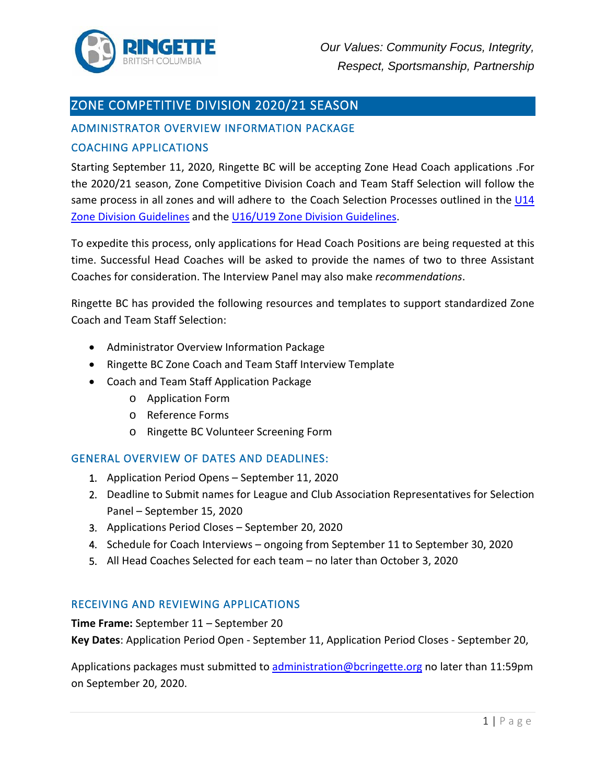

# ZONE COMPETITIVE DIVISION 2020/21 SEASON

# ADMINISTRATOR OVERVIEW INFORMATION PACKAGE

### COACHING APPLICATIONS

Starting September 11, 2020, Ringette BC will be accepting Zone Head Coach applications .For the 2020/21 season, Zone Competitive Division Coach and Team Staff Selection will follow the same process in all zones and will adhere to the Coach Selection Processes outlined in the U14 [Zone Division Guidelines](https://www.ringettebc.ca/wp-content/uploads/2020/07/Updated-Jul-30-2020-U14-Zone-Division-Guidelines.pdf) and the [U16/U19 Zone Division Guidelines.](https://www.ringettebc.ca/wp-content/uploads/2020/04/Ringette-BC-U16-U19-Zone-Division-Guidelines-v.-6-Dec-20-2019.pdf)

To expedite this process, only applications for Head Coach Positions are being requested at this time. Successful Head Coaches will be asked to provide the names of two to three Assistant Coaches for consideration. The Interview Panel may also make *recommendations*.

Ringette BC has provided the following resources and templates to support standardized Zone Coach and Team Staff Selection:

- Administrator Overview Information Package
- Ringette BC Zone Coach and Team Staff Interview Template
- Coach and Team Staff Application Package
	- o Application Form
	- o Reference Forms
	- o Ringette BC Volunteer Screening Form

#### GENERAL OVERVIEW OF DATES AND DEADLINES:

- 1. Application Period Opens September 11, 2020
- 2. Deadline to Submit names for League and Club Association Representatives for Selection Panel – September 15, 2020
- 3. Applications Period Closes September 20, 2020
- 4. Schedule for Coach Interviews ongoing from September 11 to September 30, 2020
- 5. All Head Coaches Selected for each team no later than October 3, 2020

#### RECEIVING AND REVIEWING APPLICATIONS

**Time Frame:** September 11 – September 20

**Key Dates**: Application Period Open - September 11, Application Period Closes - September 20,

Applications packages must submitted to [administration@bcringette.org](mailto:administration@bcringette.org) no later than 11:59pm on September 20, 2020.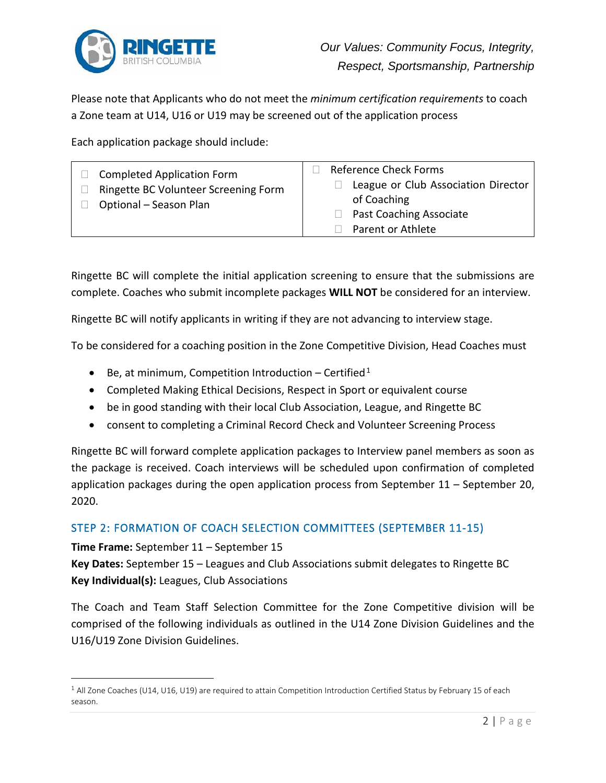

Please note that Applicants who do not meet the *minimum certification requirements* to coach a Zone team at U14, U16 or U19 may be screened out of the application process

Each application package should include:

| <b>Completed Application Form</b><br>Ringette BC Volunteer Screening Form<br>Optional - Season Plan | <b>Reference Check Forms</b><br>League or Club Association Director<br>of Coaching<br><b>Past Coaching Associate</b><br>Parent or Athlete |
|-----------------------------------------------------------------------------------------------------|-------------------------------------------------------------------------------------------------------------------------------------------|
|-----------------------------------------------------------------------------------------------------|-------------------------------------------------------------------------------------------------------------------------------------------|

Ringette BC will complete the initial application screening to ensure that the submissions are complete. Coaches who submit incomplete packages **WILL NOT** be considered for an interview.

Ringette BC will notify applicants in writing if they are not advancing to interview stage.

To be considered for a coaching position in the Zone Competitive Division, Head Coaches must

- Be, at minimum, Competition Introduction Certified<sup>1</sup>
- Completed Making Ethical Decisions, Respect in Sport or equivalent course
- be in good standing with their local Club Association, League, and Ringette BC
- consent to completing a Criminal Record Check and Volunteer Screening Process

Ringette BC will forward complete application packages to Interview panel members as soon as the package is received. Coach interviews will be scheduled upon confirmation of completed application packages during the open application process from September 11 – September 20, 2020.

## STEP 2: FORMATION OF COACH SELECTION COMMITTEES (SEPTEMBER 11-15)

**Time Frame:** September 11 – September 15

**Key Dates:** September 15 – Leagues and Club Associations submit delegates to Ringette BC **Key Individual(s):** Leagues, Club Associations

The Coach and Team Staff Selection Committee for the Zone Competitive division will be comprised of the following individuals as outlined in the U14 Zone Division Guidelines and the U16/U19 Zone Division Guidelines.

 $1$  All Zone Coaches (U14, U16, U19) are required to attain Competition Introduction Certified Status by February 15 of each season.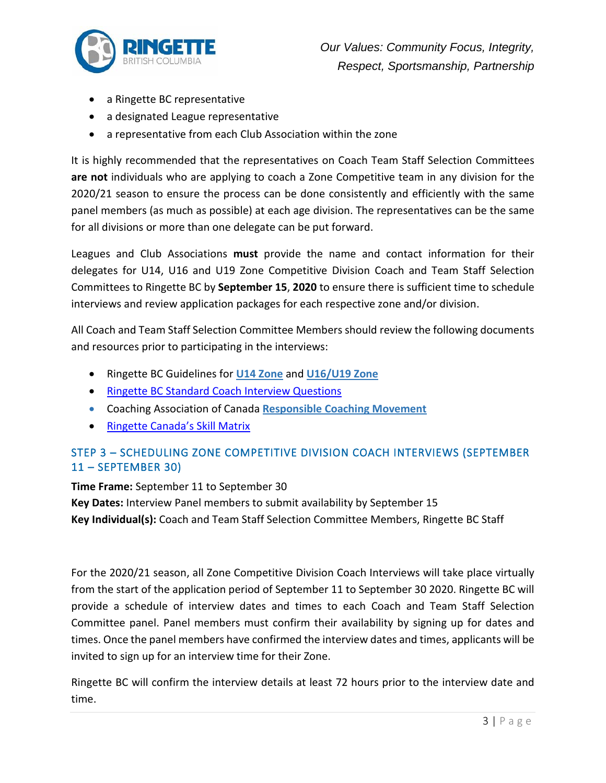

- a Ringette BC representative
- a designated League representative
- a representative from each Club Association within the zone

It is highly recommended that the representatives on Coach Team Staff Selection Committees **are not** individuals who are applying to coach a Zone Competitive team in any division for the 2020/21 season to ensure the process can be done consistently and efficiently with the same panel members (as much as possible) at each age division. The representatives can be the same for all divisions or more than one delegate can be put forward.

Leagues and Club Associations **must** provide the name and contact information for their delegates for U14, U16 and U19 Zone Competitive Division Coach and Team Staff Selection Committees to Ringette BC by **September 15**, **2020** to ensure there is sufficient time to schedule interviews and review application packages for each respective zone and/or division.

All Coach and Team Staff Selection Committee Members should review the following documents and resources prior to participating in the interviews:

- Ringette BC Guidelines for **[U14 Zone](https://www.ringettebc.ca/wp-content/uploads/2020/07/Updated-Jul-30-2020-U14-Zone-Division-Guidelines.pdf)** and **[U16/U19 Zone](https://www.ringettebc.ca/wp-content/uploads/2020/02/Ringette-BC-U16-U19-Zone-Division-Guidelines-v.-6-Dec-20-2019.pdf)**
- [Ringette BC Standard Coach Interview Questions](https://www.ringettebc.ca/wp-content/uploads/2020/09/Ringete-BC-Standard-Coach-Interview-Questions-1.pdf)
- Coaching Association of Canada **[Responsible Coaching Movement](https://coach.ca/responsible-coaching-movement)**
- [Ringette Canada's Skill Matrix](http://ltrd.ringette.ca/)

# STEP 3 – SCHEDULING ZONE COMPETITIVE DIVISION COACH INTERVIEWS (SEPTEMBER 11 – SEPTEMBER 30)

#### **Time Frame:** September 11 to September 30

**Key Dates:** Interview Panel members to submit availability by September 15 **Key Individual(s):** Coach and Team Staff Selection Committee Members, Ringette BC Staff

For the 2020/21 season, all Zone Competitive Division Coach Interviews will take place virtually from the start of the application period of September 11 to September 30 2020. Ringette BC will provide a schedule of interview dates and times to each Coach and Team Staff Selection Committee panel. Panel members must confirm their availability by signing up for dates and times. Once the panel members have confirmed the interview dates and times, applicants will be invited to sign up for an interview time for their Zone.

Ringette BC will confirm the interview details at least 72 hours prior to the interview date and time.